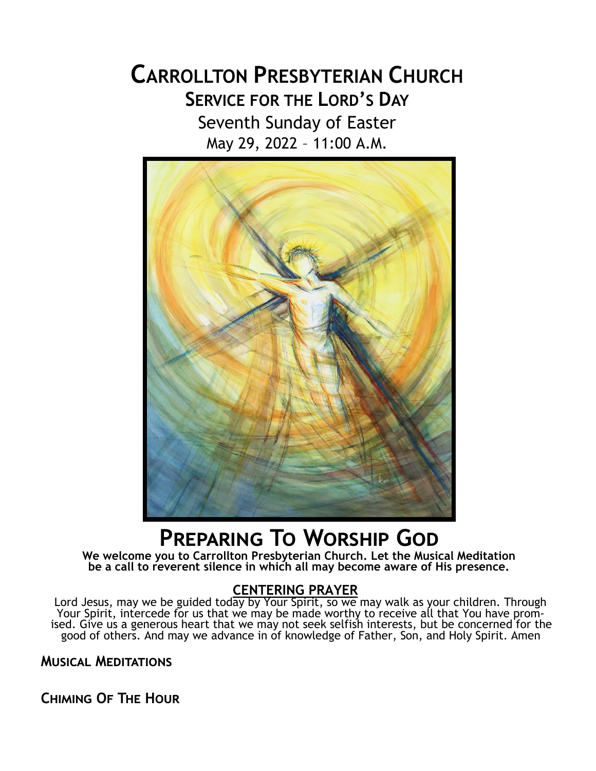# **CARROLLTON PRESBYTERIAN CHURCH SERVICE FOR THE LORD'S DAY** Seventh Sunday of Easter May 29, 2022 – 11:00 A.M.



# **Preparing To Worship God**

**We welcome you to Carrollton Presbyterian Church. Let the Musical Meditation be a call to reverent silence in which all may become aware of His presence.**

## **CENTERING PRAYER**

Lord Jesus, may we be guided today by Your Spirit, so we may walk as your children. Through Your Spirit, intercede for us that we may be made worthy to receive all that You have promised. Give us a generous heart that we may not seek selfish interests, but be concerned for the good of others. And may we advance in of knowledge of Father, Son, and Holy Spirit. Amen

## **Musical Meditations**

**Chiming Of The Hour**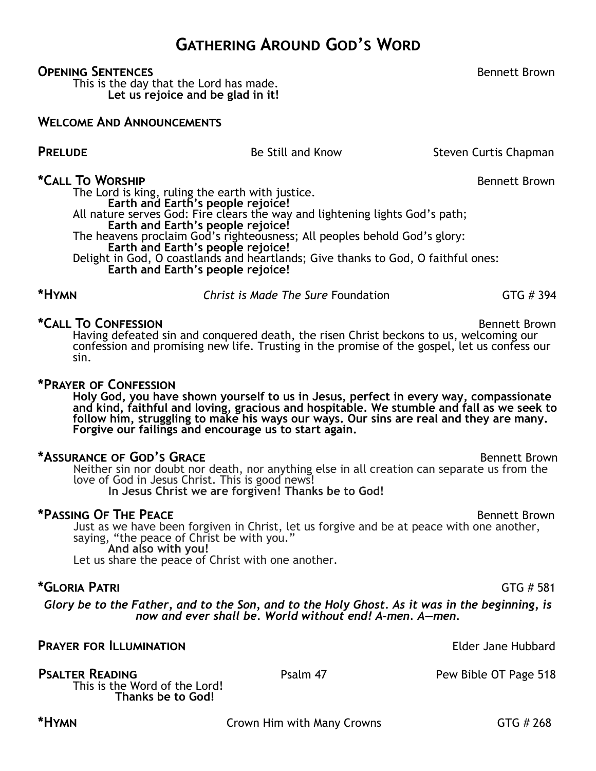**Gathering Around God's Word**

#### **OPENING SENTENCES BENEFICES BENEFICES BENEFICES BENEFICES BENEFICES BENEFICES BENEFICES BENEFICES**

This is the day that the Lord has made. **Let us rejoice and be glad in it!**

#### **Welcome And Announcements**

# **PRELUDE** Be Still and Know Steven Curtis Chapman

### **\*Call To Worship** Bennett Brown

The Lord is king, ruling the earth with justice. **Earth and Earth's people rejoice!** All nature serves God: Fire clears the way and lightening lights God's path; **Earth and Earth's people rejoice!** The heavens proclaim God's righteousness; All peoples behold God's glory: **Earth and Earth's people rejoice!** Delight in God, O coastlands and heartlands; Give thanks to God, O faithful ones: **Earth and Earth's people rejoice!**

**\*Call To Confession** Bennett Brown Having defeated sin and conquered death, the risen Christ beckons to us, welcoming our confession and promising new life. Trusting in the promise of the gospel, let us confess our sin.

**\*Hymn** *Christ is Made The Sure* Foundation GTG # 394

#### **\*Prayer of Confession**

**Holy God, you have shown yourself to us in Jesus, perfect in every way, compassionate and kind, faithful and loving, gracious and hospitable. We stumble and fall as we seek to follow him, struggling to make his ways our ways. Our sins are real and they are many. Forgive our failings and encourage us to start again.**

#### \*ASSURANCE OF GOD<sup>'</sup>S GRACE **BELL ASSURANCE OF GOD**<sup>'</sup>S GRACE

Neither sin nor doubt nor death, nor anything else in all creation can separate us from the love of God in Jesus Christ. This is good news!

**In Jesus Christ we are forgiven! Thanks be to God!**

#### \*PASSING OF THE PEACE **BENCE ASSESSED ASSESSED A** Bennett Brown

Just as we have been forgiven in Christ, let us forgive and be at peace with one another, saying, "the peace of Christ be with you." **And also with you!**

Let us share the peace of Christ with one another.

#### **\*Gloria Patri** GTG # 581

*Glory be to the Father, and to the Son, and to the Holy Ghost. As it was in the beginning, is now and ever shall be. World without end! A-men. A—men.*

# **PRAYER FOR ILLUMINATION CONSUMINATION Elder Jane Hubbard**

This is the Word of the Lord! **Thanks be to God!**

**PSALTER READING** Psalm 47 Psalm 47 Pew Bible OT Page 518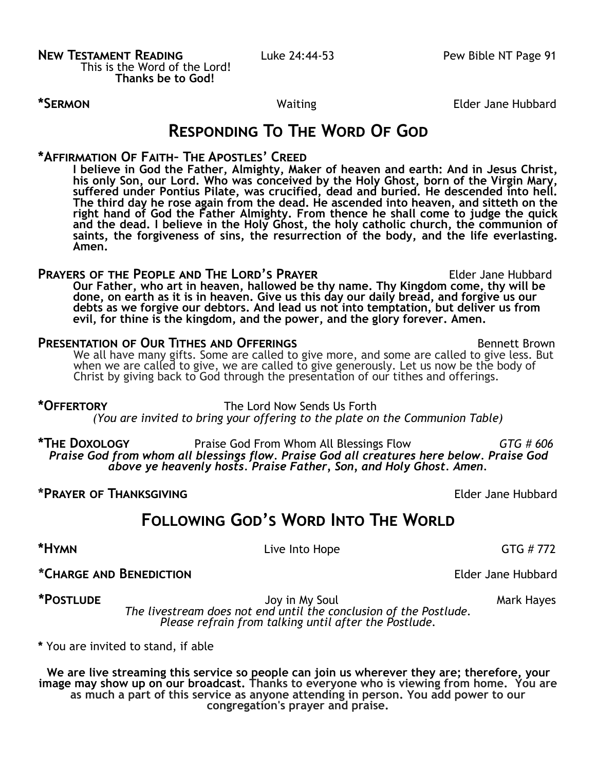**\*SERMON Elder Jane Hubbard** 

# **Responding To The Word Of God**

### **\*Affirmation Of Faith– The Apostles' Creed**

**I believe in God the Father, Almighty, Maker of heaven and earth: And in Jesus Christ, his only Son, our Lord. Who was conceived by the Holy Ghost, born of the Virgin Mary, suffered under Pontius Pilate, was crucified, dead and buried. He descended into hell. The third day he rose again from the dead. He ascended into heaven, and sitteth on the right hand of God the Father Almighty. From thence he shall come to judge the quick and the dead. I believe in the Holy Ghost, the holy catholic church, the communion of saints, the forgiveness of sins, the resurrection of the body, and the life everlasting. Amen.**

**Prayers of the People and The Lord's Prayer** Elder Jane Hubbard **Our Father, who art in heaven, hallowed be thy name. Thy Kingdom come, thy will be done, on earth as it is in heaven. Give us this day our daily bread, and forgive us our debts as we forgive our debtors. And lead us not into temptation, but deliver us from evil, for thine is the kingdom, and the power, and the glory forever. Amen.**

#### **PRESENTATION OF OUR TITHES AND OFFERINGS BENNET BROWN** Bennett Brown

We all have many gifts. Some are called to give more, and some are called to give less. But when we are called to give, we are called to give generously. Let us now be the body of Christ by giving back to God through the presentation of our tithes and offerings.

**\*Offertory** The Lord Now Sends Us Forth *(You are invited to bring your offering to the plate on the Communion Table)*

**\*The Doxology** Praise God From Whom All Blessings Flow *GTG # 606 Praise God from whom all blessings flow. Praise God all creatures here below. Praise God above ye heavenly hosts. Praise Father, Son, and Holy Ghost. Amen.*

#### **\*Prayer of Thanksgiving** Elder Jane Hubbard

**Following God's Word Into The World**

**\*Hymn** GTG # 772

**\*Charge and Benediction** Elder Jane Hubbard

\*POSTLUDE **All and Soul Accord Mark Hayes** Joy in My Soul Mark Hayes Mark Hayes *The livestream does not end until the conclusion of the Postlude. Please refrain from talking until after the Postlude.*

**\*** You are invited to stand, if able

**We are live streaming this service so people can join us wherever they are; therefore, your image may show up on our broadcast. Thanks to everyone who is viewing from home. You are as much a part of this service as anyone attending in person. You add power to our congregation's prayer and praise.**